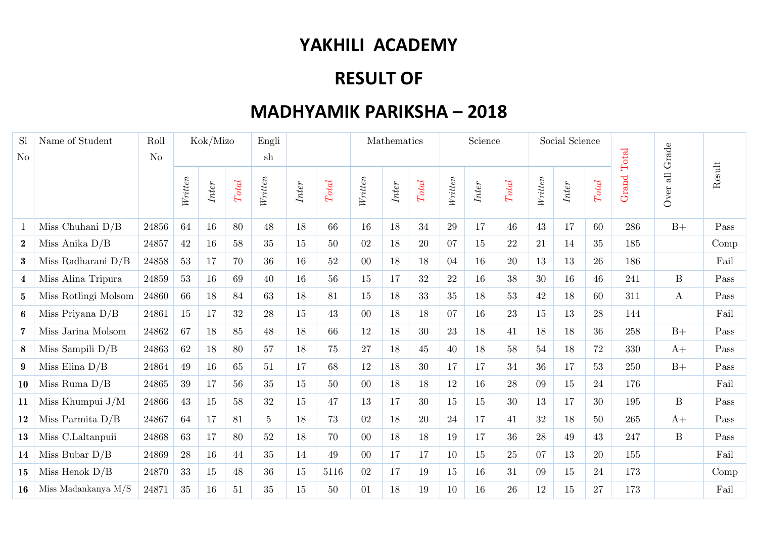## **YAKHILI ACADEMY**

## **RESULT OF**

## **MADHYAMIK PARIKSHA – 2018**

| S <sub>1</sub> | Name of Student      | Roll           | Kok/Mizo |       |         | Engli          |       |        | Mathematics |       |                        | Science |       |                        | Social Science |       |         | Grade |                                  |                |
|----------------|----------------------|----------------|----------|-------|---------|----------------|-------|--------|-------------|-------|------------------------|---------|-------|------------------------|----------------|-------|---------|-------|----------------------------------|----------------|
| $\rm No$       |                      | N <sub>o</sub> |          |       | sh      |                |       |        |             |       |                        |         |       |                        |                |       | Total   |       |                                  |                |
|                |                      |                | Writen   | Inter | $Total$ | Writen         | Inter | Total  | Writen      | Inter | $\operatorname{Total}$ | Writen  | Inter | $\operatorname{Total}$ | Writen         | Inter | $Total$ | Grand | $\overline{\textrm{ab}}$<br>Over | ${\rm Result}$ |
|                | Miss Chuhani $D/B$   | 24856          | 64       | 16    | 80      | 48             | 18    | 66     | 16          | 18    | 34                     | 29      | 17    | 46                     | 43             | 17    | 60      | 286   | $B+$                             | Pass           |
| $\bf{2}$       | Miss Anika $D/B$     | 24857          | 42       | 16    | 58      | 35             | 15    | 50     | 02          | 18    | 20                     | 07      | 15    | 22                     | 21             | 14    | 35      | 185   |                                  | Comp           |
| $\bf{3}$       | Miss Radharani $D/B$ | 24858          | $53\,$   | 17    | 70      | 36             | 16    | $52\,$ | $00\,$      | 18    | 18                     | 04      | 16    | 20                     | 13             | 13    | 26      | 186   |                                  | Fail           |
| $\overline{4}$ | Miss Alina Tripura   | 24859          | 53       | 16    | 69      | 40             | 16    | 56     | 15          | 17    | 32                     | 22      | 16    | 38                     | 30             | 16    | 46      | 241   | $\, {\bf B}$                     | Pass           |
| $5^{\circ}$    | Miss Rotlingi Molsom | 24860          | 66       | 18    | 84      | 63             | 18    | 81     | 15          | 18    | 33                     | 35      | 18    | 53                     | 42             | 18    | 60      | 311   | $\mathbf{A}$                     | Pass           |
| 6              | Miss Priyana $D/B$   | 24861          | 15       | 17    | 32      | 28             | 15    | 43     | $00\,$      | 18    | 18                     | 07      | 16    | 23                     | 15             | 13    | 28      | 144   |                                  | Fail           |
| $\overline{7}$ | Miss Jarina Molsom   | 24862          | 67       | 18    | 85      | 48             | 18    | 66     | 12          | 18    | 30                     | 23      | 18    | 41                     | 18             | 18    | 36      | 258   | $B+$                             | Pass           |
| 8              | Miss Sampili $D/B$   | 24863          | 62       | 18    | 80      | 57             | 18    | 75     | $27\,$      | 18    | 45                     | 40      | 18    | 58                     | 54             | 18    | 72      | 330   | $A+$                             | Pass           |
| $9^{\circ}$    | Miss Elina $D/B$     | 24864          | 49       | 16    | 65      | 51             | 17    | 68     | 12          | 18    | 30                     | 17      | 17    | 34                     | 36             | 17    | 53      | 250   | $B+$                             | Pass           |
| 10             | Miss Ruma $D/B$      | 24865          | 39       | 17    | 56      | 35             | 15    | 50     | $00\,$      | 18    | 18                     | 12      | 16    | 28                     | 09             | 15    | 24      | 176   |                                  | Fail           |
| 11             | Miss Khumpui $J/M$   | 24866          | 43       | 15    | 58      | 32             | 15    | 47     | 13          | 17    | 30                     | 15      | 15    | 30                     | 13             | 17    | 30      | 195   | $\boldsymbol{B}$                 | Pass           |
| 12             | Miss Parmita $D/B$   | 24867          | 64       | 17    | 81      | 5 <sup>5</sup> | 18    | 73     | 02          | 18    | 20                     | 24      | 17    | 41                     | 32             | 18    | 50      | 265   | $A+$                             | Pass           |
| 13             | Miss C.Laltanpuii    | 24868          | 63       | 17    | 80      | $52\,$         | 18    | 70     | $00\,$      | 18    | 18                     | 19      | 17    | 36                     | $28\,$         | 49    | 43      | 247   | $\, {\bf B}$                     | Pass           |
| 14             | Miss Bubar $D/B$     | 24869          | 28       | 16    | 44      | 35             | 14    | 49     | $00\,$      | 17    | 17                     | 10      | 15    | 25                     | 07             | 13    | 20      | 155   |                                  | Fail           |
| 15             | Miss Henok $D/B$     | 24870          | 33       | 15    | 48      | 36             | 15    | 5116   | $02\,$      | 17    | 19                     | 15      | 16    | 31                     | 09             | 15    | 24      | 173   |                                  | Comp           |
| 16             | Miss Madankanya M/S  | 24871          | 35       | 16    | 51      | 35             | 15    | $50\,$ | 01          | 18    | 19                     | 10      | 16    | 26                     | 12             | 15    | 27      | 173   |                                  | Fail           |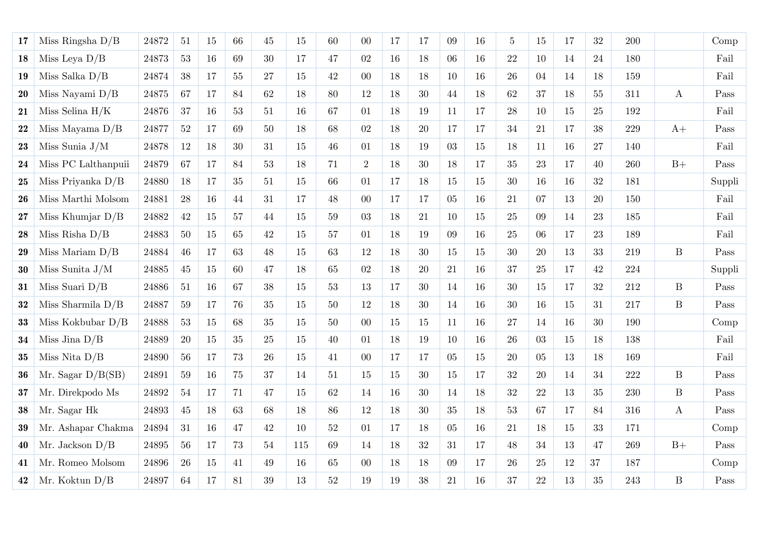| 17        | Miss Ringsha $D/B$  | 24872 | 51         | 15     | 66 | 45     | 15  | 60     | $00\,$         | 17 | 17     | 09              | 16 | 5  | 15     | 17     | 32     | 200 |                  | Comp   |
|-----------|---------------------|-------|------------|--------|----|--------|-----|--------|----------------|----|--------|-----------------|----|----|--------|--------|--------|-----|------------------|--------|
| 18        | Miss Leya $D/B$     | 24873 | $53\,$     | 16     | 69 | 30     | 17  | 47     | $02\,$         | 16 | 18     | 06              | 16 | 22 | 10     | 14     | 24     | 180 |                  | Fail   |
| 19        | Miss Salka $D/B$    | 24874 | $38\,$     | 17     | 55 | 27     | 15  | 42     | $00\,$         | 18 | 18     | 10              | 16 | 26 | 04     | 14     | 18     | 159 |                  | Fail   |
| <b>20</b> | Miss Nayami $D/B$   | 24875 | 67         | 17     | 84 | 62     | 18  | 80     | 12             | 18 | $30\,$ | $44\,$          | 18 | 62 | 37     | 18     | $55\,$ | 311 | $\bf{A}$         | Pass   |
| 21        | Miss Selina $H/K$   | 24876 | 37         | 16     | 53 | 51     | 16  | 67     | 01             | 18 | 19     | 11              | 17 | 28 | 10     | 15     | 25     | 192 |                  | Fail   |
| 22        | Miss Mayama $D/B$   | 24877 | $52\,$     | 17     | 69 | 50     | 18  | 68     | 02             | 18 | 20     | 17              | 17 | 34 | 21     | 17     | 38     | 229 | $A+$             | Pass   |
| 23        | Miss Sunia $J/M$    | 24878 | 12         | 18     | 30 | 31     | 15  | 46     | 01             | 18 | 19     | 03              | 15 | 18 | 11     | 16     | 27     | 140 |                  | Fail   |
| 24        | Miss PC Lalthanpuii | 24879 | 67         | 17     | 84 | 53     | 18  | 71     | $\overline{2}$ | 18 | $30\,$ | 18              | 17 | 35 | 23     | 17     | 40     | 260 | $B+$             | Pass   |
| 25        | Miss Priyanka $D/B$ | 24880 | 18         | 17     | 35 | 51     | 15  | 66     | 01             | 17 | 18     | 15              | 15 | 30 | 16     | 16     | 32     | 181 |                  | Suppli |
| 26        | Miss Marthi Molsom  | 24881 | 28         | 16     | 44 | 31     | 17  | 48     | $00\,$         | 17 | 17     | 05 <sub>1</sub> | 16 | 21 | 07     | 13     | $20\,$ | 150 |                  | Fail   |
| 27        | Miss Khumjar $D/B$  | 24882 | 42         | 15     | 57 | 44     | 15  | $59\,$ | 03             | 18 | 21     | 10              | 15 | 25 | 09     | 14     | 23     | 185 |                  | Fail   |
| 28        | Miss Risha $D/B$    | 24883 | $50\,$     | 15     | 65 | 42     | 15  | $57\,$ | 01             | 18 | 19     | 09              | 16 | 25 | 06     | 17     | 23     | 189 |                  | Fail   |
| 29        | Miss Mariam $D/B$   | 24884 | 46         | 17     | 63 | 48     | 15  | 63     | 12             | 18 | $30\,$ | 15              | 15 | 30 | 20     | 13     | 33     | 219 | $\, {\bf B}$     | Pass   |
| $30\,$    | Miss Sunita $J/M$   | 24885 | $45\,$     | 15     | 60 | 47     | 18  | 65     | $02\,$         | 18 | $20\,$ | 21              | 16 | 37 | $25\,$ | 17     | 42     | 224 |                  | Suppli |
| 31        | Miss Suari $D/B$    | 24886 | 51         | 16     | 67 | 38     | 15  | 53     | 13             | 17 | $30\,$ | 14              | 16 | 30 | 15     | 17     | 32     | 212 | $\mathbf{B}$     | Pass   |
| $\bf{32}$ | Miss Sharmila $D/B$ | 24887 | $59\,$     | 17     | 76 | 35     | 15  | 50     | 12             | 18 | 30     | 14              | 16 | 30 | 16     | 15     | $31\,$ | 217 | $\, {\bf B}$     | Pass   |
| $\bf 33$  | Miss Kokbubar $D/B$ | 24888 | $53\,$     | 15     | 68 | $35\,$ | 15  | 50     | $00\,$         | 15 | 15     | 11              | 16 | 27 | 14     | 16     | 30     | 190 |                  | Comp   |
| 34        | Miss Jina $D/B$     | 24889 | <b>20</b>  | 15     | 35 | 25     | 15  | 40     | 01             | 18 | 19     | 10              | 16 | 26 | 03     | 15     | 18     | 138 |                  | Fail   |
| 35        | Miss Nita $D/B$     | 24890 | $56\,$     | 17     | 73 | 26     | 15  | 41     | 00             | 17 | 17     | 05              | 15 | 20 | 05     | 13     | 18     | 169 |                  | Fail   |
| 36        | Mr. Sagar $D/B(SB)$ | 24891 | $59\,$     | 16     | 75 | 37     | 14  | 51     | 15             | 15 | $30\,$ | 15              | 17 | 32 | 20     | 14     | $34\,$ | 222 | $\, {\bf B}$     | Pass   |
| 37        | Mr. Direkpodo Ms    | 24892 | $54\,$     | 17     | 71 | 47     | 15  | 62     | 14             | 16 | $30\,$ | 14              | 18 | 32 | 22     | 13     | $35\,$ | 230 | $\boldsymbol{B}$ | Pass   |
| 38        | Mr. Sagar Hk        | 24893 | 45         | 18     | 63 | 68     | 18  | 86     | 12             | 18 | $30\,$ | 35              | 18 | 53 | 67     | 17     | 84     | 316 | $\bf{A}$         | Pass   |
| 39        | Mr. Ashapar Chakma  | 24894 | 31         | 16     | 47 | 42     | 10  | 52     | 01             | 17 | 18     | 05              | 16 | 21 | 18     | 15     | 33     | 171 |                  | Comp   |
| 40        | Mr. Jackson $D/B$   | 24895 | 56         | 17     | 73 | 54     | 115 | 69     | 14             | 18 | 32     | 31              | 17 | 48 | 34     | 13     | 47     | 269 | $B+$             | Pass   |
| 41        | Mr. Romeo Molsom    | 24896 | ${\bf 26}$ | $15\,$ | 41 | 49     | 16  | 65     | $00\,$         | 18 | $18\,$ | 09              | 17 | 26 | $25\,$ | $12\,$ | $37\,$ | 187 |                  | Comp   |
| 42        | Mr. Koktun $D/B$    | 24897 | 64         | 17     | 81 | 39     | 13  | $52\,$ | 19             | 19 | $38\,$ | 21              | 16 | 37 | $22\,$ | 13     | 35     | 243 | $\, {\bf B}$     | Pass   |